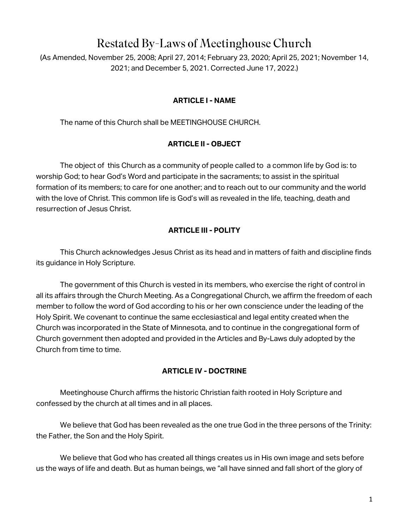# Restated By-Laws of Meetinghouse Church

(As Amended, November 25, 2008; April 27, 2014; February 23, 2020; April 25, 2021; November 14, 2021; and December 5, 2021. Corrected June 17, 2022.)

## **ARTICLE I - NAME**

The name of this Church shall be MEETINGHOUSE CHURCH.

## **ARTICLE II - OBJECT**

The object of this Church as a community of people called to a common life by God is: to worship God; to hear God's Word and participate in the sacraments; to assist in the spiritual formation of its members; to care for one another; and to reach out to our community and the world with the love of Christ. This common life is God's will as revealed in the life, teaching, death and resurrection of Jesus Christ.

## **ARTICLE III - POLITY**

This Church acknowledges Jesus Christ as its head and in matters of faith and discipline finds its guidance in Holy Scripture.

The government of this Church is vested in its members, who exercise the right of control in all its affairs through the Church Meeting. As a Congregational Church, we affirm the freedom of each member to follow the word of God according to his or her own conscience under the leading of the Holy Spirit. We covenant to continue the same ecclesiastical and legal entity created when the Church was incorporated in the State of Minnesota, and to continue in the congregational form of Church government then adopted and provided in the Articles and By-Laws duly adopted by the Church from time to time.

## **ARTICLE IV - DOCTRINE**

Meetinghouse Church affirms the historic Christian faith rooted in Holy Scripture and confessed by the church at all times and in all places.

We believe that God has been revealed as the one true God in the three persons of the Trinity: the Father, the Son and the Holy Spirit.

We believe that God who has created all things creates us in His own image and sets before us the ways of life and death. But as human beings, we "all have sinned and fall short of the glory of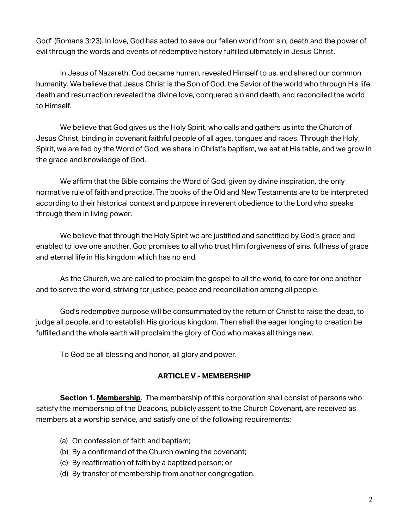God'' (Romans 3:23). In love, God has acted to save our fallen world from sin, death and the power of evil through the words and events of redemptive history fulfilled ultimately in Jesus Christ.

In Jesus of Nazareth, God became human, revealed Himself to us, and shared our common humanity. We believe that Jesus Christ is the Son of God, the Savior of the world who through His life, death and resurrection revealed the divine love, conquered sin and death, and reconciled the world to Himself.

We believe that God gives us the Holy Spirit, who calls and gathers us into the Church of Jesus Christ, binding in covenant faithful people of all ages, tongues and races. Through the Holy Spirit, we are fed by the Word of God, we share in Christ's baptism, we eat at His table, and we grow in the grace and knowledge of God.

We affirm that the Bible contains the Word of God, given by divine inspiration, the only normative rule of faith and practice. The books of the Old and New Testaments are to be interpreted according to their historical context and purpose in reverent obedience to the Lord who speaks through them in living power.

We believe that through the Holy Spirit we are justified and sanctified by God's grace and enabled to love one another. God promises to all who trust Him forgiveness of sins, fullness of grace and eternal life in His kingdom which has no end.

As the Church, we are called to proclaim the gospel to all the world, to care for one another and to serve the world, striving for justice, peace and reconciliation among all people.

God's redemptive purpose will be consummated by the return of Christ to raise the dead, to judge all people, and to establish His glorious kingdom. Then shall the eager longing to creation be fulfilled and the whole earth will proclaim the glory of God who makes all things new.

To God be all blessing and honor, all glory and power.

## **ARTICLE V - MEMBERSHIP**

**Section 1. Membership**. The membership of this corporation shall consist of persons who satisfy the membership of the Deacons, publicly assent to the Church Covenant, are received as members at a worship service, and satisfy one of the following requirements:

- (a) On confession of faith and baptism;
- (b) By a confirmand of the Church owning the covenant;
- (c) By reaffirmation of faith by a baptized person; or
- (d) By transfer of membership from another congregation.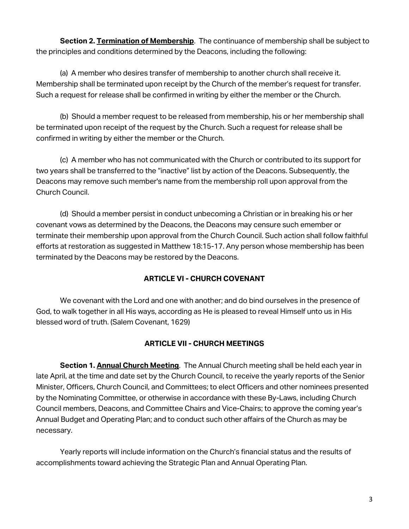**Section 2. Termination of Membership**. The continuance of membership shall be subject to the principles and conditions determined by the Deacons, including the following:

(a) A member who desires transfer of membership to another church shall receive it. Membership shall be terminated upon receipt by the Church of the member's request for transfer. Such a request for release shall be confirmed in writing by either the member or the Church.

(b) Should a member request to be released from membership, his or her membership shall be terminated upon receipt of the request by the Church. Such a request for release shall be confirmed in writing by either the member or the Church.

(c) A member who has not communicated with the Church or contributed to its support for two years shall be transferred to the "inactive" list by action of the Deacons. Subsequently, the Deacons may remove such member's name from the membership roll upon approval from the Church Council.

(d) Should a member persist in conduct unbecoming a Christian or in breaking his or her covenant vows as determined by the Deacons, the Deacons may censure such emember or terminate their membership upon approval from the Church Council. Such action shall follow faithful efforts at restoration as suggested in Matthew 18:15-17. Any person whose membership has been terminated by the Deacons may be restored by the Deacons.

# **ARTICLE VI - CHURCH COVENANT**

We covenant with the Lord and one with another; and do bind ourselves in the presence of God, to walk together in all His ways, according as He is pleased to reveal Himself unto us in His blessed word of truth. (Salem Covenant, 1629)

# **ARTICLE VII - CHURCH MEETINGS**

**Section 1. Annual Church Meeting**. The Annual Church meeting shall be held each year in late April, at the time and date set by the Church Council, to receive the yearly reports of the Senior Minister, Officers, Church Council, and Committees; to elect Officers and other nominees presented by the Nominating Committee, or otherwise in accordance with these By-Laws, including Church Council members, Deacons, and Committee Chairs and Vice-Chairs; to approve the coming year's Annual Budget and Operating Plan; and to conduct such other affairs of the Church as may be necessary.

Yearly reports will include information on the Church's financial status and the results of accomplishments toward achieving the Strategic Plan and Annual Operating Plan.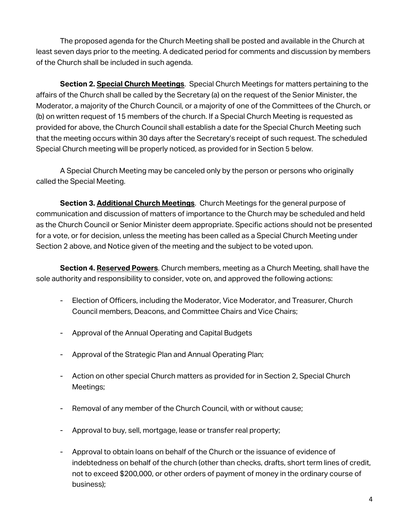The proposed agenda for the Church Meeting shall be posted and available in the Church at least seven days prior to the meeting. A dedicated period for comments and discussion by members of the Church shall be included in such agenda.

**Section 2. Special Church Meetings**. Special Church Meetings for matters pertaining to the affairs of the Church shall be called by the Secretary (a) on the request of the Senior Minister, the Moderator, a majority of the Church Council, or a majority of one of the Committees of the Church, or (b) on written request of 15 members of the church. If a Special Church Meeting is requested as provided for above, the Church Council shall establish a date for the Special Church Meeting such that the meeting occurs within 30 days after the Secretary's receipt of such request. The scheduled Special Church meeting will be properly noticed, as provided for in Section 5 below.

A Special Church Meeting may be canceled only by the person or persons who originally called the Special Meeting.

**Section 3. Additional Church Meetings**. Church Meetings for the general purpose of communication and discussion of matters of importance to the Church may be scheduled and held as the Church Council or Senior Minister deem appropriate. Specific actions should not be presented for a vote, or for decision, unless the meeting has been called as a Special Church Meeting under Section 2 above, and Notice given of the meeting and the subject to be voted upon.

**Section 4. Reserved Powers**. Church members, meeting as a Church Meeting, shall have the sole authority and responsibility to consider, vote on, and approved the following actions:

- Election of Officers, including the Moderator, Vice Moderator, and Treasurer, Church Council members, Deacons, and Committee Chairs and Vice Chairs;
- Approval of the Annual Operating and Capital Budgets
- Approval of the Strategic Plan and Annual Operating Plan;
- Action on other special Church matters as provided for in Section 2, Special Church Meetings;
- Removal of any member of the Church Council, with or without cause;
- Approval to buy, sell, mortgage, lease or transfer real property;
- Approval to obtain loans on behalf of the Church or the issuance of evidence of indebtedness on behalf of the church (other than checks, drafts, short term lines of credit, not to exceed \$200,000, or other orders of payment of money in the ordinary course of business);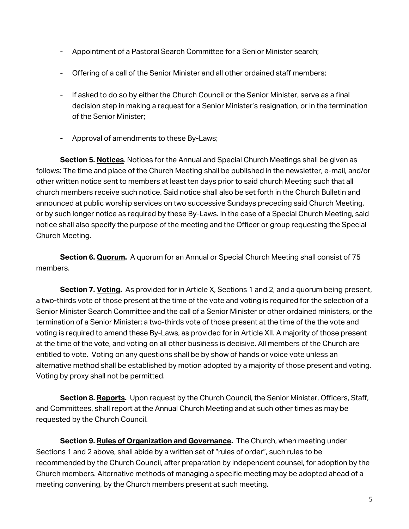- Appointment of a Pastoral Search Committee for a Senior Minister search;
- Offering of a call of the Senior Minister and all other ordained staff members;
- If asked to do so by either the Church Council or the Senior Minister, serve as a final decision step in making a request for a Senior Minister's resignation, or in the termination of the Senior Minister;
- Approval of amendments to these By-Laws;

**Section 5. Notices**. Notices for the Annual and Special Church Meetings shall be given as follows: The time and place of the Church Meeting shall be published in the newsletter, e-mail, and/or other written notice sent to members at least ten days prior to said church Meeting such that all church members receive such notice. Said notice shall also be set forth in the Church Bulletin and announced at public worship services on two successive Sundays preceding said Church Meeting, or by such longer notice as required by these By-Laws. In the case of a Special Church Meeting, said notice shall also specify the purpose of the meeting and the Officer or group requesting the Special Church Meeting.

**Section 6. Quorum.** A quorum for an Annual or Special Church Meeting shall consist of 75 members.

**Section 7. Voting.** As provided for in Article X, Sections 1 and 2, and a quorum being present, a two-thirds vote of those present at the time of the vote and voting is required for the selection of a Senior Minister Search Committee and the call of a Senior Minister or other ordained ministers, or the termination of a Senior Minister; a two-thirds vote of those present at the time of the the vote and voting is required to amend these By-Laws, as provided for in Article XII. A majority of those present at the time of the vote, and voting on all other business is decisive. All members of the Church are entitled to vote. Voting on any questions shall be by show of hands or voice vote unless an alternative method shall be established by motion adopted by a majority of those present and voting. Voting by proxy shall not be permitted.

**Section 8. Reports.** Upon request by the Church Council, the Senior Minister, Officers, Staff, and Committees, shall report at the Annual Church Meeting and at such other times as may be requested by the Church Council.

**Section 9. Rules of Organization and Governance.** The Church, when meeting under Sections 1 and 2 above, shall abide by a written set of "rules of order", such rules to be recommended by the Church Council, after preparation by independent counsel, for adoption by the Church members. Alternative methods of managing a specific meeting may be adopted ahead of a meeting convening, by the Church members present at such meeting.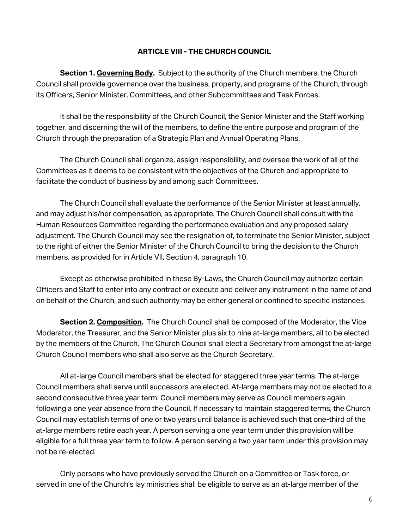## **ARTICLE VIII - THE CHURCH COUNCIL**

**Section 1. Governing Body.** Subject to the authority of the Church members, the Church Council shall provide governance over the business, property, and programs of the Church, through its Officers, Senior Minister, Committees, and other Subcommittees and Task Forces.

It shall be the responsibility of the Church Council, the Senior Minister and the Staff working together, and discerning the will of the members, to define the entire purpose and program of the Church through the preparation of a Strategic Plan and Annual Operating Plans.

The Church Council shall organize, assign responsibility, and oversee the work of all of the Committees as it deems to be consistent with the objectives of the Church and appropriate to facilitate the conduct of business by and among such Committees.

The Church Council shall evaluate the performance of the Senior Minister at least annually, and may adjust his/her compensation, as appropriate. The Church Council shall consult with the Human Resources Committee regarding the performance evaluation and any proposed salary adjustment. The Church Council may see the resignation of, to terminate the Senior Minister, subject to the right of either the Senior Minister of the Church Council to bring the decision to the Church members, as provided for in Article VII, Section 4, paragraph 10.

Except as otherwise prohibited in these By-Laws, the Church Council may authorize certain Officers and Staff to enter into any contract or execute and deliver any instrument in the name of and on behalf of the Church, and such authority may be either general or confined to specific instances.

**Section 2. Composition.** The Church Council shall be composed of the Moderator, the Vice Moderator, the Treasurer, and the Senior Minister plus six to nine at-large members, all to be elected by the members of the Church. The Church Council shall elect a Secretary from amongst the at-large Church Council members who shall also serve as the Church Secretary.

All at-large Council members shall be elected for staggered three year terms. The at-large Council members shall serve until successors are elected. At-large members may not be elected to a second consecutive three year term. Council members may serve as Council members again following a one year absence from the Council. If necessary to maintain staggered terms, the Church Council may establish terms of one or two years until balance is achieved such that one-third of the at-large members retire each year. A person serving a one year term under this provision will be eligible for a full three year term to follow. A person serving a two year term under this provision may not be re-elected.

Only persons who have previously served the Church on a Committee or Task force, or served in one of the Church's lay ministries shall be eligible to serve as an at-large member of the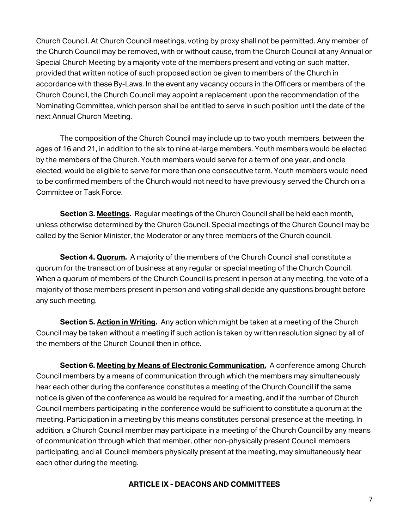Church Council. At Church Council meetings, voting by proxy shall not be permitted. Any member of the Church Council may be removed, with or without cause, from the Church Council at any Annual or Special Church Meeting by a majority vote of the members present and voting on such matter, provided that written notice of such proposed action be given to members of the Church in accordance with these By-Laws. In the event any vacancy occurs in the Officers or members of the Church Council, the Church Council may appoint a replacement upon the recommendation of the Nominating Committee, which person shall be entitled to serve in such position until the date of the next Annual Church Meeting.

The composition of the Church Council may include up to two youth members, between the ages of 16 and 21, in addition to the six to nine at-large members. Youth members would be elected by the members of the Church. Youth members would serve for a term of one year, and oncle elected, would be eligible to serve for more than one consecutive term. Youth members would need to be confirmed members of the Church would not need to have previously served the Church on a Committee or Task Force.

**Section 3. Meetings.** Regular meetings of the Church Council shall be held each month, unless otherwise determined by the Church Council. Special meetings of the Church Council may be called by the Senior Minister, the Moderator or any three members of the Church council.

**Section 4. Quorum.** A majority of the members of the Church Council shall constitute a quorum for the transaction of business at any regular or special meeting of the Church Council. When a quorum of members of the Church Council is present in person at any meeting, the vote of a majority of those members present in person and voting shall decide any questions brought before any such meeting.

**Section 5. Action in Writing.** Any action which might be taken at a meeting of the Church Council may be taken without a meeting if such action is taken by written resolution signed by all of the members of the Church Council then in office.

**Section 6. Meeting by Means of Electronic Communication.** A conference among Church Council members by a means of communication through which the members may simultaneously hear each other during the conference constitutes a meeting of the Church Council if the same notice is given of the conference as would be required for a meeting, and if the number of Church Council members participating in the conference would be sufficient to constitute a quorum at the meeting. Participation in a meeting by this means constitutes personal presence at the meeting. In addition, a Church Council member may participate in a meeting of the Church Council by any means of communication through which that member, other non-physically present Council members participating, and all Council members physically present at the meeting, may simultaneously hear each other during the meeting.

## **ARTICLE IX - DEACONS AND COMMITTEES**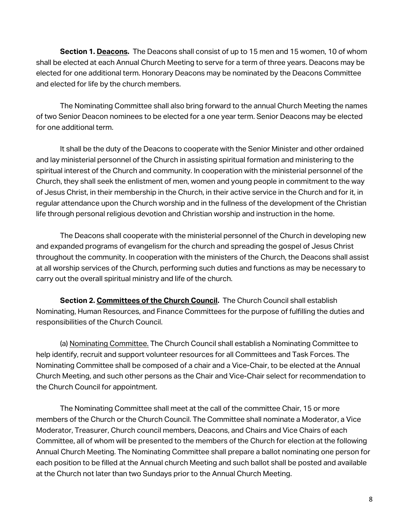**Section 1. Deacons.** The Deacons shall consist of up to 15 men and 15 women, 10 of whom shall be elected at each Annual Church Meeting to serve for a term of three years. Deacons may be elected for one additional term. Honorary Deacons may be nominated by the Deacons Committee and elected for life by the church members.

The Nominating Committee shall also bring forward to the annual Church Meeting the names of two Senior Deacon nominees to be elected for a one year term. Senior Deacons may be elected for one additional term.

It shall be the duty of the Deacons to cooperate with the Senior Minister and other ordained and lay ministerial personnel of the Church in assisting spiritual formation and ministering to the spiritual interest of the Church and community. In cooperation with the ministerial personnel of the Church, they shall seek the enlistment of men, women and young people in commitment to the way of Jesus Christ, in their membership in the Church, in their active service in the Church and for it, in regular attendance upon the Church worship and in the fullness of the development of the Christian life through personal religious devotion and Christian worship and instruction in the home.

The Deacons shall cooperate with the ministerial personnel of the Church in developing new and expanded programs of evangelism for the church and spreading the gospel of Jesus Christ throughout the community. In cooperation with the ministers of the Church, the Deacons shall assist at all worship services of the Church, performing such duties and functions as may be necessary to carry out the overall spiritual ministry and life of the church.

**Section 2. Committees of the Church Council.** The Church Council shall establish Nominating, Human Resources, and Finance Committees for the purpose of fulfilling the duties and responsibilities of the Church Council.

(a) Nominating Committee. The Church Council shall establish a Nominating Committee to help identify, recruit and support volunteer resources for all Committees and Task Forces. The Nominating Committee shall be composed of a chair and a Vice-Chair, to be elected at the Annual Church Meeting, and such other persons as the Chair and Vice-Chair select for recommendation to the Church Council for appointment.

The Nominating Committee shall meet at the call of the committee Chair, 15 or more members of the Church or the Church Council. The Committee shall nominate a Moderator, a Vice Moderator, Treasurer, Church council members, Deacons, and Chairs and Vice Chairs of each Committee, all of whom will be presented to the members of the Church for election at the following Annual Church Meeting. The Nominating Committee shall prepare a ballot nominating one person for each position to be filled at the Annual church Meeting and such ballot shall be posted and available at the Church not later than two Sundays prior to the Annual Church Meeting.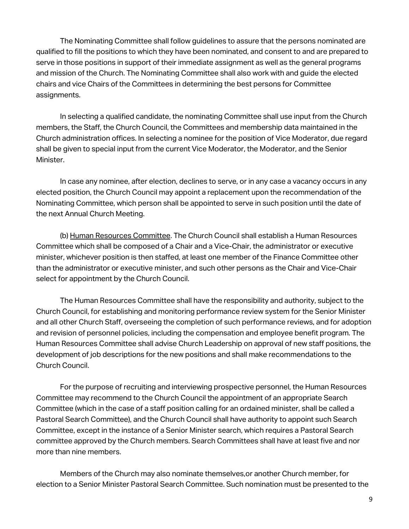The Nominating Committee shall follow guidelines to assure that the persons nominated are qualified to fill the positions to which they have been nominated, and consent to and are prepared to serve in those positions in support of their immediate assignment as well as the general programs and mission of the Church. The Nominating Committee shall also work with and guide the elected chairs and vice Chairs of the Committees in determining the best persons for Committee assignments.

In selecting a qualified candidate, the nominating Committee shall use input from the Church members, the Staff, the Church Council, the Committees and membership data maintained in the Church administration offices. In selecting a nominee for the position of Vice Moderator, due regard shall be given to special input from the current Vice Moderator, the Moderator, and the Senior Minister.

In case any nominee, after election, declines to serve, or in any case a vacancy occurs in any elected position, the Church Council may appoint a replacement upon the recommendation of the Nominating Committee, which person shall be appointed to serve in such position until the date of the next Annual Church Meeting.

(b) Human Resources Committee. The Church Council shall establish a Human Resources Committee which shall be composed of a Chair and a Vice-Chair, the administrator or executive minister, whichever position is then staffed, at least one member of the Finance Committee other than the administrator or executive minister, and such other persons as the Chair and Vice-Chair select for appointment by the Church Council.

The Human Resources Committee shall have the responsibility and authority, subject to the Church Council, for establishing and monitoring performance review system for the Senior Minister and all other Church Staff, overseeing the completion of such performance reviews, and for adoption and revision of personnel policies, including the compensation and employee benefit program. The Human Resources Committee shall advise Church Leadership on approval of new staff positions, the development of job descriptions for the new positions and shall make recommendations to the Church Council.

For the purpose of recruiting and interviewing prospective personnel, the Human Resources Committee may recommend to the Church Council the appointment of an appropriate Search Committee (which in the case of a staff position calling for an ordained minister, shall be called a Pastoral Search Committee), and the Church Council shall have authority to appoint such Search Committee, except in the instance of a Senior Minister search, which requires a Pastoral Search committee approved by the Church members. Search Committees shall have at least five and nor more than nine members.

Members of the Church may also nominate themselves,or another Church member, for election to a Senior Minister Pastoral Search Committee. Such nomination must be presented to the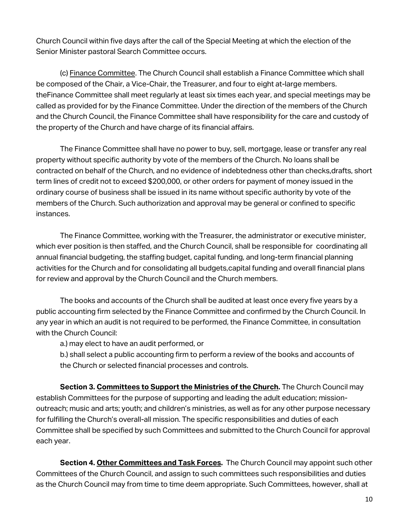Church Council within five days after the call of the Special Meeting at which the election of the Senior Minister pastoral Search Committee occurs.

(c) Finance Committee. The Church Council shall establish a Finance Committee which shall be composed of the Chair, a Vice-Chair, the Treasurer, and four to eight at-large members. theFinance Committee shall meet regularly at least six times each year, and special meetings may be called as provided for by the Finance Committee. Under the direction of the members of the Church and the Church Council, the Finance Committee shall have responsibility for the care and custody of the property of the Church and have charge of its financial affairs.

The Finance Committee shall have no power to buy, sell, mortgage, lease or transfer any real property without specific authority by vote of the members of the Church. No loans shall be contracted on behalf of the Church, and no evidence of indebtedness other than checks,drafts, short term lines of credit not to exceed \$200,000, or other orders for payment of money issued in the ordinary course of business shall be issued in its name without specific authority by vote of the members of the Church. Such authorization and approval may be general or confined to specific instances.

The Finance Committee, working with the Treasurer, the administrator or executive minister, which ever position is then staffed, and the Church Council, shall be responsible for coordinating all annual financial budgeting, the staffing budget, capital funding, and long-term financial planning activities for the Church and for consolidating all budgets,capital funding and overall financial plans for review and approval by the Church Council and the Church members.

The books and accounts of the Church shall be audited at least once every five years by a public accounting firm selected by the Finance Committee and confirmed by the Church Council. In any year in which an audit is not required to be performed, the Finance Committee, in consultation with the Church Council:

a.) may elect to have an audit performed, or

b.) shall select a public accounting firm to perform a review of the books and accounts of the Church or selected financial processes and controls.

**Section 3. Committees to Support the Ministries of the Church.** The Church Council may establish Committees for the purpose of supporting and leading the adult education; missionoutreach; music and arts; youth; and children's ministries, as well as for any other purpose necessary for fulfilling the Church's overall-all mission. The specific responsibilities and duties of each Committee shall be specified by such Committees and submitted to the Church Council for approval each year.

**Section 4. Other Committees and Task Forces.** The Church Council may appoint such other Committees of the Church Council, and assign to such committees such responsibilities and duties as the Church Council may from time to time deem appropriate. Such Committees, however, shall at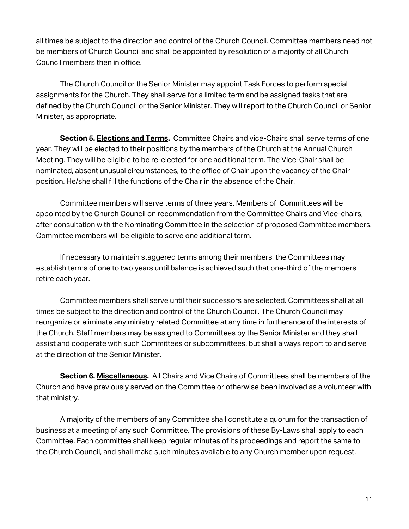all times be subject to the direction and control of the Church Council. Committee members need not be members of Church Council and shall be appointed by resolution of a majority of all Church Council members then in office.

The Church Council or the Senior Minister may appoint Task Forces to perform special assignments for the Church. They shall serve for a limited term and be assigned tasks that are defined by the Church Council or the Senior Minister. They will report to the Church Council or Senior Minister, as appropriate.

**Section 5. Elections and Terms.** Committee Chairs and vice-Chairs shall serve terms of one year. They will be elected to their positions by the members of the Church at the Annual Church Meeting. They will be eligible to be re-elected for one additional term. The Vice-Chair shall be nominated, absent unusual circumstances, to the office of Chair upon the vacancy of the Chair position. He/she shall fill the functions of the Chair in the absence of the Chair.

Committee members will serve terms of three years. Members of Committees will be appointed by the Church Council on recommendation from the Committee Chairs and Vice-chairs, after consultation with the Nominating Committee in the selection of proposed Committee members. Committee members will be eligible to serve one additional term.

If necessary to maintain staggered terms among their members, the Committees may establish terms of one to two years until balance is achieved such that one-third of the members retire each year.

Committee members shall serve until their successors are selected. Committees shall at all times be subject to the direction and control of the Church Council. The Church Council may reorganize or eliminate any ministry related Committee at any time in furtherance of the interests of the Church. Staff members may be assigned to Committees by the Senior Minister and they shall assist and cooperate with such Committees or subcommittees, but shall always report to and serve at the direction of the Senior Minister.

**Section 6. Miscellaneous.** All Chairs and Vice Chairs of Committees shall be members of the Church and have previously served on the Committee or otherwise been involved as a volunteer with that ministry.

A majority of the members of any Committee shall constitute a quorum for the transaction of business at a meeting of any such Committee. The provisions of these By-Laws shall apply to each Committee. Each committee shall keep regular minutes of its proceedings and report the same to the Church Council, and shall make such minutes available to any Church member upon request.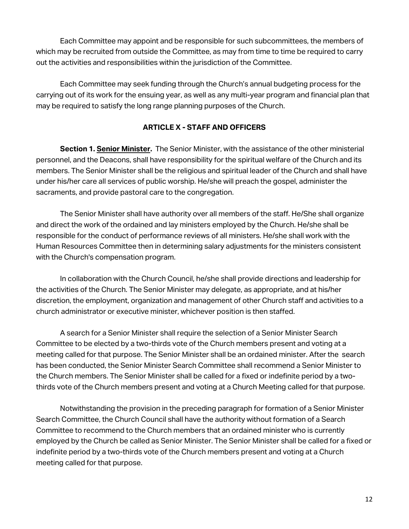Each Committee may appoint and be responsible for such subcommittees, the members of which may be recruited from outside the Committee, as may from time to time be required to carry out the activities and responsibilities within the jurisdiction of the Committee.

Each Committee may seek funding through the Church's annual budgeting process for the carrying out of its work for the ensuing year, as well as any multi-year program and financial plan that may be required to satisfy the long range planning purposes of the Church.

## **ARTICLE X - STAFF AND OFFICERS**

**Section 1. Senior Minister.** The Senior Minister, with the assistance of the other ministerial personnel, and the Deacons, shall have responsibility for the spiritual welfare of the Church and its members. The Senior Minister shall be the religious and spiritual leader of the Church and shall have under his/her care all services of public worship. He/she will preach the gospel, administer the sacraments, and provide pastoral care to the congregation.

The Senior Minister shall have authority over all members of the staff. He/She shall organize and direct the work of the ordained and lay ministers employed by the Church. He/she shall be responsible for the conduct of performance reviews of all ministers. He/she shall work with the Human Resources Committee then in determining salary adjustments for the ministers consistent with the Church's compensation program.

In collaboration with the Church Council, he/she shall provide directions and leadership for the activities of the Church. The Senior Minister may delegate, as appropriate, and at his/her discretion, the employment, organization and management of other Church staff and activities to a church administrator or executive minister, whichever position is then staffed.

A search for a Senior Minister shall require the selection of a Senior Minister Search Committee to be elected by a two-thirds vote of the Church members present and voting at a meeting called for that purpose. The Senior Minister shall be an ordained minister. After the search has been conducted, the Senior Minister Search Committee shall recommend a Senior Minister to the Church members. The Senior Minister shall be called for a fixed or indefinite period by a twothirds vote of the Church members present and voting at a Church Meeting called for that purpose.

Notwithstanding the provision in the preceding paragraph for formation of a Senior Minister Search Committee, the Church Council shall have the authority without formation of a Search Committee to recommend to the Church members that an ordained minister who is currently employed by the Church be called as Senior Minister. The Senior Minister shall be called for a fixed or indefinite period by a two-thirds vote of the Church members present and voting at a Church meeting called for that purpose.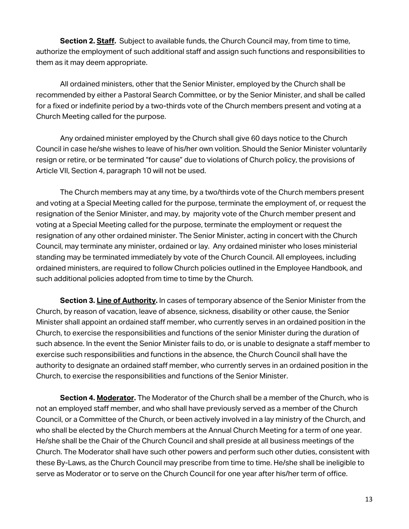**Section 2. Staff.** Subject to available funds, the Church Council may, from time to time, authorize the employment of such additional staff and assign such functions and responsibilities to them as it may deem appropriate.

All ordained ministers, other that the Senior Minister, employed by the Church shall be recommended by either a Pastoral Search Committee, or by the Senior Minister, and shall be called for a fixed or indefinite period by a two-thirds vote of the Church members present and voting at a Church Meeting called for the purpose.

Any ordained minister employed by the Church shall give 60 days notice to the Church Council in case he/she wishes to leave of his/her own volition. Should the Senior Minister voluntarily resign or retire, or be terminated "for cause" due to violations of Church policy, the provisions of Article VII, Section 4, paragraph 10 will not be used.

The Church members may at any time, by a two/thirds vote of the Church members present and voting at a Special Meeting called for the purpose, terminate the employment of, or request the resignation of the Senior Minister, and may, by majority vote of the Church member present and voting at a Special Meeting called for the purpose, terminate the employment or request the resignation of any other ordained minister. The Senior Minister, acting in concert with the Church Council, may terminate any minister, ordained or lay. Any ordained minister who loses ministerial standing may be terminated immediately by vote of the Church Council. All employees, including ordained ministers, are required to follow Church policies outlined in the Employee Handbook, and such additional policies adopted from time to time by the Church.

**Section 3. Line of Authority.** In cases of temporary absence of the Senior Minister from the Church, by reason of vacation, leave of absence, sickness, disability or other cause, the Senior Minister shall appoint an ordained staff member, who currently serves in an ordained position in the Church, to exercise the responsibilities and functions of the senior Minister during the duration of such absence. In the event the Senior Minister fails to do, or is unable to designate a staff member to exercise such responsibilities and functions in the absence, the Church Council shall have the authority to designate an ordained staff member, who currently serves in an ordained position in the Church, to exercise the responsibilities and functions of the Senior Minister.

**Section 4. Moderator.** The Moderator of the Church shall be a member of the Church, who is not an employed staff member, and who shall have previously served as a member of the Church Council, or a Committee of the Church, or been actively involved in a lay ministry of the Church, and who shall be elected by the Church members at the Annual Church Meeting for a term of one year. He/she shall be the Chair of the Church Council and shall preside at all business meetings of the Church. The Moderator shall have such other powers and perform such other duties, consistent with these By-Laws, as the Church Council may prescribe from time to time. He/she shall be ineligible to serve as Moderator or to serve on the Church Council for one year after his/her term of office.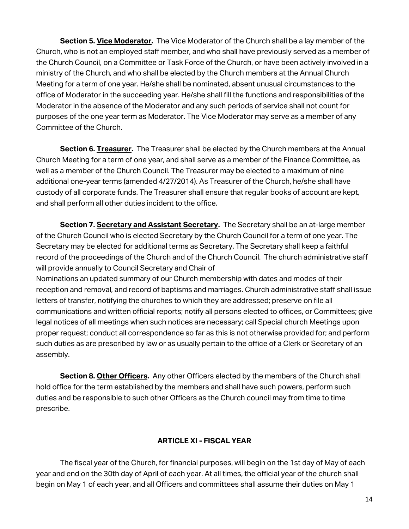**Section 5. Vice Moderator.** The Vice Moderator of the Church shall be a lay member of the Church, who is not an employed staff member, and who shall have previously served as a member of the Church Council, on a Committee or Task Force of the Church, or have been actively involved in a ministry of the Church, and who shall be elected by the Church members at the Annual Church Meeting for a term of one year. He/she shall be nominated, absent unusual circumstances to the office of Moderator in the succeeding year. He/she shall fill the functions and responsibilities of the Moderator in the absence of the Moderator and any such periods of service shall not count for purposes of the one year term as Moderator. The Vice Moderator may serve as a member of any Committee of the Church.

**Section 6. Treasurer.** The Treasurer shall be elected by the Church members at the Annual Church Meeting for a term of one year, and shall serve as a member of the Finance Committee, as well as a member of the Church Council. The Treasurer may be elected to a maximum of nine additional one-year terms (amended 4/27/2014). As Treasurer of the Church, he/she shall have custody of all corporate funds. The Treasurer shall ensure that regular books of account are kept, and shall perform all other duties incident to the office.

**Section 7. Secretary and Assistant Secretary.** The Secretary shall be an at-large member of the Church Council who is elected Secretary by the Church Council for a term of one year. The Secretary may be elected for additional terms as Secretary. The Secretary shall keep a faithful record of the proceedings of the Church and of the Church Council. The church administrative staff will provide annually to Council Secretary and Chair of

Nominations an updated summary of our Church membership with dates and modes of their reception and removal, and record of baptisms and marriages. Church administrative staff shall issue letters of transfer, notifying the churches to which they are addressed; preserve on file all communications and written official reports; notify all persons elected to offices, or Committees; give legal notices of all meetings when such notices are necessary; call Special church Meetings upon proper request; conduct all correspondence so far as this is not otherwise provided for; and perform such duties as are prescribed by law or as usually pertain to the office of a Clerk or Secretary of an assembly.

**Section 8. Other Officers.** Any other Officers elected by the members of the Church shall hold office for the term established by the members and shall have such powers, perform such duties and be responsible to such other Officers as the Church council may from time to time prescribe.

## **ARTICLE XI - FISCAL YEAR**

The fiscal year of the Church, for financial purposes, will begin on the 1st day of May of each year and end on the 30th day of April of each year. At all times, the official year of the church shall begin on May 1 of each year, and all Officers and committees shall assume their duties on May 1